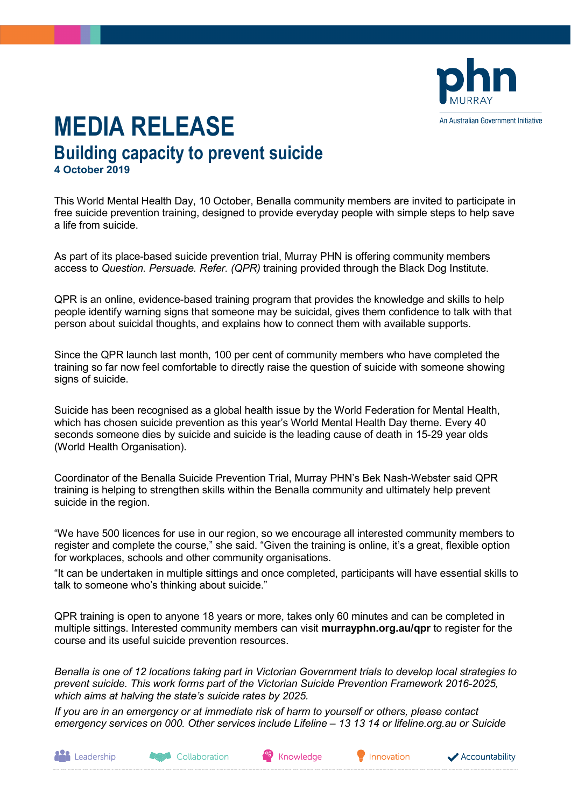

## **MEDIA RELEASE Building capacity to prevent suicide 4 October 2019**

This World Mental Health Day, 10 October, Benalla community members are invited to participate in free suicide prevention training, designed to provide everyday people with simple steps to help save a life from suicide.

As part of its place-based suicide prevention trial, Murray PHN is offering community members access to *Question. Persuade. Refer. (QPR)* training provided through the Black Dog Institute.

QPR is an online, evidence-based training program that provides the knowledge and skills to help people identify warning signs that someone may be suicidal, gives them confidence to talk with that person about suicidal thoughts, and explains how to connect them with available supports.

Since the QPR launch last month, 100 per cent of community members who have completed the training so far now feel comfortable to directly raise the question of suicide with someone showing signs of suicide.

Suicide has been recognised as a global health issue by the World Federation for Mental Health, which has chosen suicide prevention as this year's World Mental Health Day theme. Every 40 seconds someone dies by suicide and suicide is the leading cause of death in 15-29 year olds (World Health Organisation).

Coordinator of the Benalla Suicide Prevention Trial, Murray PHN's Bek Nash-Webster said QPR training is helping to strengthen skills within the Benalla community and ultimately help prevent suicide in the region.

"We have 500 licences for use in our region, so we encourage all interested community members to register and complete the course," she said. "Given the training is online, it's a great, flexible option for workplaces, schools and other community organisations.

"It can be undertaken in multiple sittings and once completed, participants will have essential skills to talk to someone who's thinking about suicide."

QPR training is open to anyone 18 years or more, takes only 60 minutes and can be completed in multiple sittings. Interested community members can visit **murrayphn.org.au/qpr** to register for the course and its useful suicide prevention resources.

*Benalla is one of 12 locations taking part in Victorian Government trials to develop local strategies to prevent suicide. This work forms part of the Victorian Suicide Prevention Framework 2016-2025, which aims at halving the state's suicide rates by 2025.*

*If you are in an emergency or at immediate risk of harm to yourself or others, please contact emergency services on 000. Other services include Lifeline – 13 13 14 or lifeline.org.au or Suicide* 



Collaboration

Knowledge